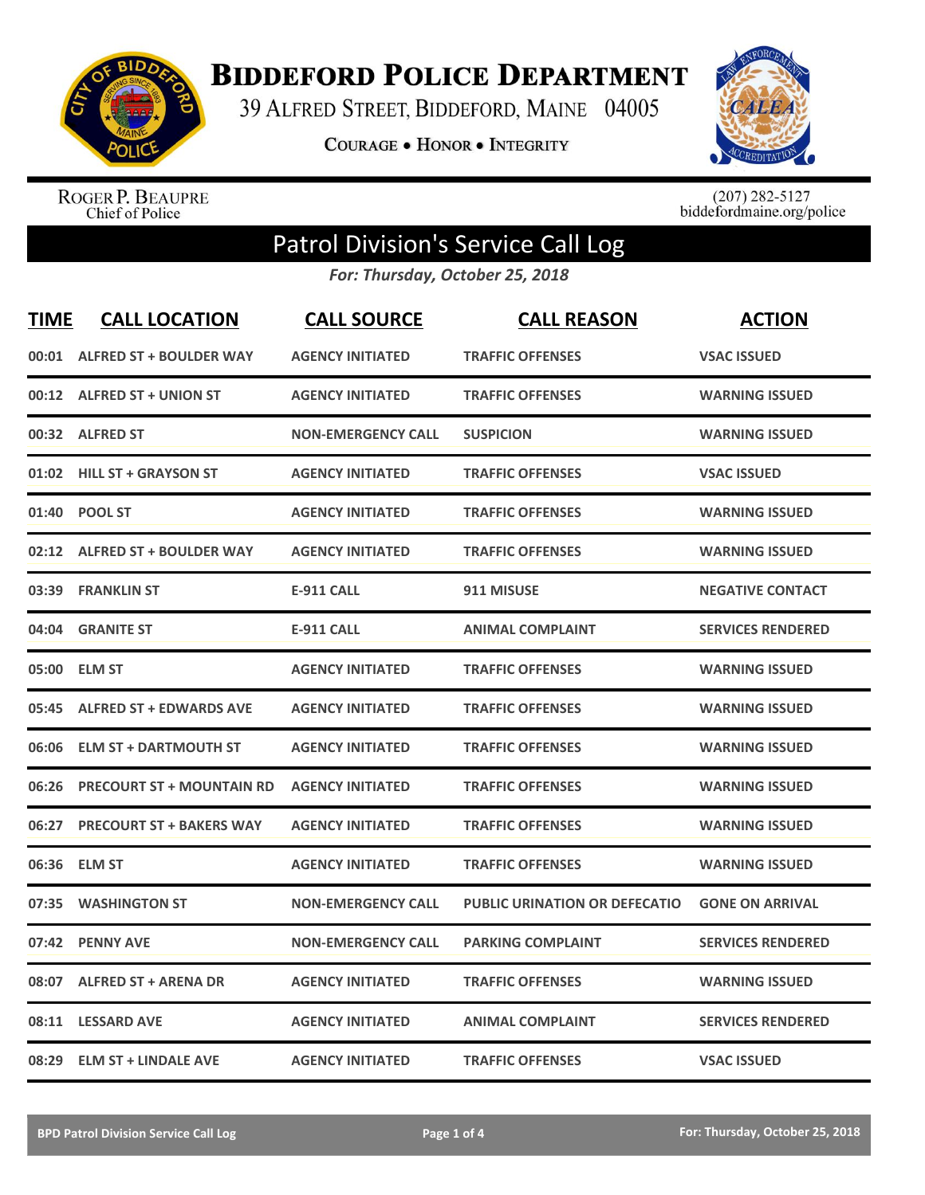

**BIDDEFORD POLICE DEPARTMENT** 

39 ALFRED STREET, BIDDEFORD, MAINE 04005

COURAGE . HONOR . INTEGRITY



ROGER P. BEAUPRE<br>Chief of Police

 $(207)$  282-5127<br>biddefordmaine.org/police

## Patrol Division's Service Call Log

*For: Thursday, October 25, 2018*

| <b>TIME</b> | <b>CALL LOCATION</b>             | <b>CALL SOURCE</b>        | <b>CALL REASON</b>                   | <b>ACTION</b>            |
|-------------|----------------------------------|---------------------------|--------------------------------------|--------------------------|
| 00:01       | <b>ALFRED ST + BOULDER WAY</b>   | <b>AGENCY INITIATED</b>   | <b>TRAFFIC OFFENSES</b>              | <b>VSAC ISSUED</b>       |
|             | 00:12 ALFRED ST + UNION ST       | <b>AGENCY INITIATED</b>   | <b>TRAFFIC OFFENSES</b>              | <b>WARNING ISSUED</b>    |
| 00:32       | <b>ALFRED ST</b>                 | <b>NON-EMERGENCY CALL</b> | <b>SUSPICION</b>                     | <b>WARNING ISSUED</b>    |
| 01:02       | <b>HILL ST + GRAYSON ST</b>      | <b>AGENCY INITIATED</b>   | <b>TRAFFIC OFFENSES</b>              | <b>VSAC ISSUED</b>       |
| 01:40       | <b>POOL ST</b>                   | <b>AGENCY INITIATED</b>   | <b>TRAFFIC OFFENSES</b>              | <b>WARNING ISSUED</b>    |
| 02:12       | <b>ALFRED ST + BOULDER WAY</b>   | <b>AGENCY INITIATED</b>   | <b>TRAFFIC OFFENSES</b>              | <b>WARNING ISSUED</b>    |
| 03:39       | <b>FRANKLIN ST</b>               | <b>E-911 CALL</b>         | 911 MISUSE                           | <b>NEGATIVE CONTACT</b>  |
| 04:04       | <b>GRANITE ST</b>                | <b>E-911 CALL</b>         | <b>ANIMAL COMPLAINT</b>              | <b>SERVICES RENDERED</b> |
| 05:00       | <b>ELM ST</b>                    | <b>AGENCY INITIATED</b>   | <b>TRAFFIC OFFENSES</b>              | <b>WARNING ISSUED</b>    |
| 05:45       | <b>ALFRED ST + EDWARDS AVE</b>   | <b>AGENCY INITIATED</b>   | <b>TRAFFIC OFFENSES</b>              | <b>WARNING ISSUED</b>    |
| 06:06       | <b>ELM ST + DARTMOUTH ST</b>     | <b>AGENCY INITIATED</b>   | <b>TRAFFIC OFFENSES</b>              | <b>WARNING ISSUED</b>    |
| 06:26       | <b>PRECOURT ST + MOUNTAIN RD</b> | <b>AGENCY INITIATED</b>   | <b>TRAFFIC OFFENSES</b>              | <b>WARNING ISSUED</b>    |
| 06:27       | <b>PRECOURT ST + BAKERS WAY</b>  | <b>AGENCY INITIATED</b>   | <b>TRAFFIC OFFENSES</b>              | <b>WARNING ISSUED</b>    |
| 06:36       | <b>ELM ST</b>                    | <b>AGENCY INITIATED</b>   | <b>TRAFFIC OFFENSES</b>              | <b>WARNING ISSUED</b>    |
| 07:35       | <b>WASHINGTON ST</b>             | <b>NON-EMERGENCY CALL</b> | <b>PUBLIC URINATION OR DEFECATIO</b> | <b>GONE ON ARRIVAL</b>   |
| 07:42       | <b>PENNY AVE</b>                 | <b>NON-EMERGENCY CALL</b> | <b>PARKING COMPLAINT</b>             | <b>SERVICES RENDERED</b> |
| 08:07       | <b>ALFRED ST + ARENA DR</b>      | <b>AGENCY INITIATED</b>   | <b>TRAFFIC OFFENSES</b>              | <b>WARNING ISSUED</b>    |
| 08:11       | <b>LESSARD AVE</b>               | <b>AGENCY INITIATED</b>   | <b>ANIMAL COMPLAINT</b>              | <b>SERVICES RENDERED</b> |
| 08:29       | <b>ELM ST + LINDALE AVE</b>      | <b>AGENCY INITIATED</b>   | <b>TRAFFIC OFFENSES</b>              | <b>VSAC ISSUED</b>       |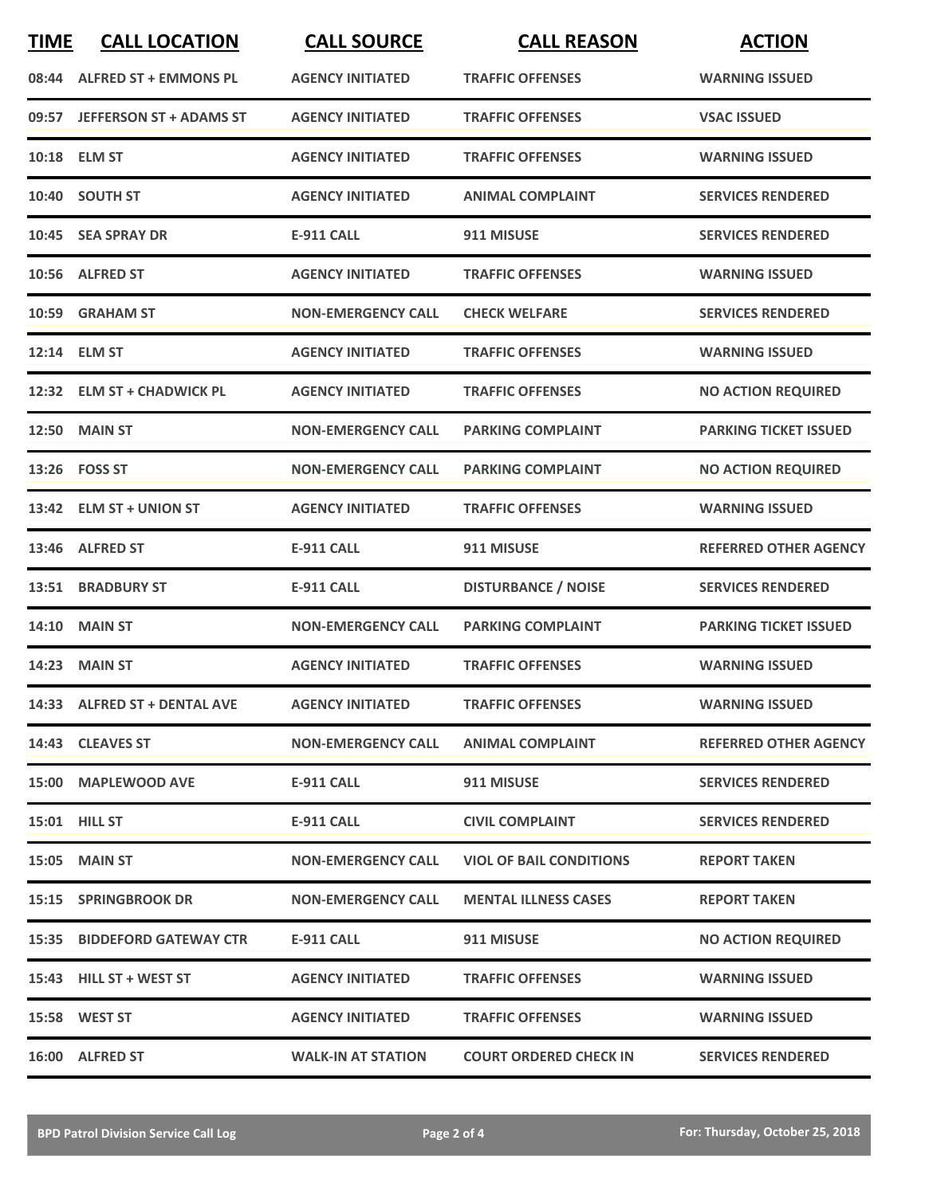| <b>TIME</b> | <b>CALL LOCATION</b>           | <b>CALL SOURCE</b>        | <b>CALL REASON</b>             | <b>ACTION</b>                |
|-------------|--------------------------------|---------------------------|--------------------------------|------------------------------|
| 08:44       | <b>ALFRED ST + EMMONS PL</b>   | <b>AGENCY INITIATED</b>   | <b>TRAFFIC OFFENSES</b>        | <b>WARNING ISSUED</b>        |
| 09:57       | <b>JEFFERSON ST + ADAMS ST</b> | <b>AGENCY INITIATED</b>   | <b>TRAFFIC OFFENSES</b>        | <b>VSAC ISSUED</b>           |
|             | 10:18 ELM ST                   | <b>AGENCY INITIATED</b>   | <b>TRAFFIC OFFENSES</b>        | <b>WARNING ISSUED</b>        |
|             | 10:40 SOUTH ST                 | <b>AGENCY INITIATED</b>   | <b>ANIMAL COMPLAINT</b>        | <b>SERVICES RENDERED</b>     |
|             | 10:45 SEA SPRAY DR             | <b>E-911 CALL</b>         | 911 MISUSE                     | <b>SERVICES RENDERED</b>     |
|             | 10:56 ALFRED ST                | <b>AGENCY INITIATED</b>   | <b>TRAFFIC OFFENSES</b>        | <b>WARNING ISSUED</b>        |
|             | 10:59 GRAHAM ST                | <b>NON-EMERGENCY CALL</b> | <b>CHECK WELFARE</b>           | <b>SERVICES RENDERED</b>     |
| 12:14       | <b>ELM ST</b>                  | <b>AGENCY INITIATED</b>   | <b>TRAFFIC OFFENSES</b>        | <b>WARNING ISSUED</b>        |
|             | 12:32 ELM ST + CHADWICK PL     | <b>AGENCY INITIATED</b>   | <b>TRAFFIC OFFENSES</b>        | <b>NO ACTION REQUIRED</b>    |
|             | <b>12:50 MAIN ST</b>           | <b>NON-EMERGENCY CALL</b> | <b>PARKING COMPLAINT</b>       | <b>PARKING TICKET ISSUED</b> |
|             | 13:26    FOSS ST               | <b>NON-EMERGENCY CALL</b> | <b>PARKING COMPLAINT</b>       | <b>NO ACTION REQUIRED</b>    |
|             | 13:42 ELM ST + UNION ST        | <b>AGENCY INITIATED</b>   | <b>TRAFFIC OFFENSES</b>        | <b>WARNING ISSUED</b>        |
|             | 13:46 ALFRED ST                | <b>E-911 CALL</b>         | 911 MISUSE                     | <b>REFERRED OTHER AGENCY</b> |
| 13:51       | <b>BRADBURY ST</b>             | <b>E-911 CALL</b>         | <b>DISTURBANCE / NOISE</b>     | <b>SERVICES RENDERED</b>     |
| 14:10       | <b>MAIN ST</b>                 | <b>NON-EMERGENCY CALL</b> | <b>PARKING COMPLAINT</b>       | <b>PARKING TICKET ISSUED</b> |
|             | <b>14:23 MAIN ST</b>           | <b>AGENCY INITIATED</b>   | <b>TRAFFIC OFFENSES</b>        | <b>WARNING ISSUED</b>        |
|             | 14:33 ALFRED ST + DENTAL AVE   | <b>AGENCY INITIATED</b>   | <b>TRAFFIC OFFENSES</b>        | <b>WARNING ISSUED</b>        |
|             | 14:43 CLEAVES ST               | <b>NON-EMERGENCY CALL</b> | ANIMAL COMPLAINT               | <b>REFERRED OTHER AGENCY</b> |
|             | 15:00 MAPLEWOOD AVE            | E-911 CALL                | 911 MISUSE                     | <b>SERVICES RENDERED</b>     |
|             | <b>15:01 HILL ST</b>           | E-911 CALL                | <b>CIVIL COMPLAINT</b>         | <b>SERVICES RENDERED</b>     |
|             | <b>15:05 MAIN ST</b>           | <b>NON-EMERGENCY CALL</b> | <b>VIOL OF BAIL CONDITIONS</b> | <b>REPORT TAKEN</b>          |
|             | <b>15:15 SPRINGBROOK DR</b>    | <b>NON-EMERGENCY CALL</b> | <b>MENTAL ILLNESS CASES</b>    | <b>REPORT TAKEN</b>          |
|             | 15:35 BIDDEFORD GATEWAY CTR    | E-911 CALL                | 911 MISUSE                     | <b>NO ACTION REQUIRED</b>    |
|             | 15:43 HILL ST + WEST ST        | <b>AGENCY INITIATED</b>   | <b>TRAFFIC OFFENSES</b>        | <b>WARNING ISSUED</b>        |
|             | 15:58 WEST ST                  | <b>AGENCY INITIATED</b>   | <b>TRAFFIC OFFENSES</b>        | <b>WARNING ISSUED</b>        |
|             | 16:00 ALFRED ST                | <b>WALK-IN AT STATION</b> | <b>COURT ORDERED CHECK IN</b>  | <b>SERVICES RENDERED</b>     |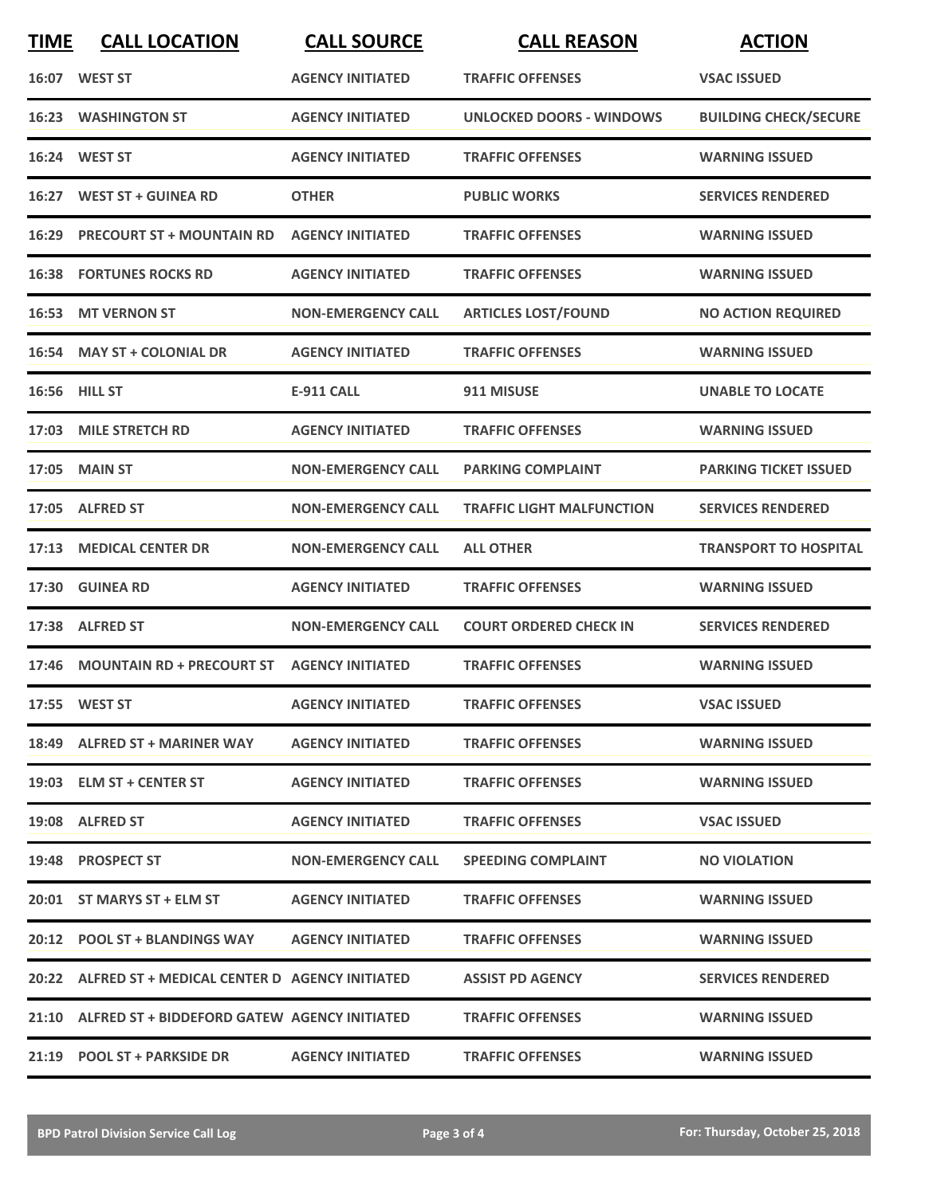| <b>TIME</b> | <b>CALL LOCATION</b>                                | <b>CALL SOURCE</b>        | <b>CALL REASON</b>               | <b>ACTION</b>                |
|-------------|-----------------------------------------------------|---------------------------|----------------------------------|------------------------------|
|             | 16:07 WEST ST                                       | <b>AGENCY INITIATED</b>   | <b>TRAFFIC OFFENSES</b>          | <b>VSAC ISSUED</b>           |
|             | 16:23 WASHINGTON ST                                 | <b>AGENCY INITIATED</b>   | UNLOCKED DOORS - WINDOWS         | <b>BUILDING CHECK/SECURE</b> |
|             | 16:24 WEST ST                                       | <b>AGENCY INITIATED</b>   | <b>TRAFFIC OFFENSES</b>          | <b>WARNING ISSUED</b>        |
|             | 16:27 WEST ST + GUINEA RD                           | <b>OTHER</b>              | <b>PUBLIC WORKS</b>              | <b>SERVICES RENDERED</b>     |
|             | 16:29 PRECOURT ST + MOUNTAIN RD                     | <b>AGENCY INITIATED</b>   | <b>TRAFFIC OFFENSES</b>          | <b>WARNING ISSUED</b>        |
|             | <b>16:38 FORTUNES ROCKS RD</b>                      | <b>AGENCY INITIATED</b>   | <b>TRAFFIC OFFENSES</b>          | <b>WARNING ISSUED</b>        |
| 16:53       | <b>MT VERNON ST</b>                                 | <b>NON-EMERGENCY CALL</b> | <b>ARTICLES LOST/FOUND</b>       | <b>NO ACTION REQUIRED</b>    |
|             | 16:54 MAY ST + COLONIAL DR                          | <b>AGENCY INITIATED</b>   | <b>TRAFFIC OFFENSES</b>          | <b>WARNING ISSUED</b>        |
|             | 16:56 HILL ST                                       | <b>E-911 CALL</b>         | 911 MISUSE                       | <b>UNABLE TO LOCATE</b>      |
|             | 17:03 MILE STRETCH RD                               | <b>AGENCY INITIATED</b>   | <b>TRAFFIC OFFENSES</b>          | <b>WARNING ISSUED</b>        |
|             | <b>17:05 MAIN ST</b>                                | <b>NON-EMERGENCY CALL</b> | <b>PARKING COMPLAINT</b>         | <b>PARKING TICKET ISSUED</b> |
|             | 17:05 ALFRED ST                                     | <b>NON-EMERGENCY CALL</b> | <b>TRAFFIC LIGHT MALFUNCTION</b> | <b>SERVICES RENDERED</b>     |
| 17:13       | <b>MEDICAL CENTER DR</b>                            | <b>NON-EMERGENCY CALL</b> | <b>ALL OTHER</b>                 | <b>TRANSPORT TO HOSPITAL</b> |
| 17:30       | <b>GUINEA RD</b>                                    | <b>AGENCY INITIATED</b>   | <b>TRAFFIC OFFENSES</b>          | <b>WARNING ISSUED</b>        |
|             | 17:38 ALFRED ST                                     | <b>NON-EMERGENCY CALL</b> | <b>COURT ORDERED CHECK IN</b>    | <b>SERVICES RENDERED</b>     |
|             | 17:46 MOUNTAIN RD + PRECOURT ST AGENCY INITIATED    |                           | <b>TRAFFIC OFFENSES</b>          | <b>WARNING ISSUED</b>        |
|             | 17:55 WEST ST                                       | <b>AGENCY INITIATED</b>   | <b>TRAFFIC OFFENSES</b>          | <b>VSAC ISSUED</b>           |
|             | 18:49 ALFRED ST + MARINER WAY                       | <b>AGENCY INITIATED</b>   | <b>TRAFFIC OFFENSES</b>          | <b>WARNING ISSUED</b>        |
|             | 19:03 ELM ST + CENTER ST                            | <b>AGENCY INITIATED</b>   | <b>TRAFFIC OFFENSES</b>          | <b>WARNING ISSUED</b>        |
|             | 19:08 ALFRED ST                                     | <b>AGENCY INITIATED</b>   | <b>TRAFFIC OFFENSES</b>          | <b>VSAC ISSUED</b>           |
|             | 19:48 PROSPECT ST                                   | <b>NON-EMERGENCY CALL</b> | <b>SPEEDING COMPLAINT</b>        | <b>NO VIOLATION</b>          |
|             | 20:01 ST MARYS ST + ELM ST                          | <b>AGENCY INITIATED</b>   | <b>TRAFFIC OFFENSES</b>          | <b>WARNING ISSUED</b>        |
|             | 20:12 POOL ST + BLANDINGS WAY AGENCY INITIATED      |                           | <b>TRAFFIC OFFENSES</b>          | <b>WARNING ISSUED</b>        |
|             | 20:22 ALFRED ST + MEDICAL CENTER D AGENCY INITIATED |                           | <b>ASSIST PD AGENCY</b>          | <b>SERVICES RENDERED</b>     |
|             | 21:10 ALFRED ST + BIDDEFORD GATEW AGENCY INITIATED  |                           | <b>TRAFFIC OFFENSES</b>          | <b>WARNING ISSUED</b>        |
|             | 21:19 POOL ST + PARKSIDE DR AGENCY INITIATED        |                           | <b>TRAFFIC OFFENSES</b>          | <b>WARNING ISSUED</b>        |